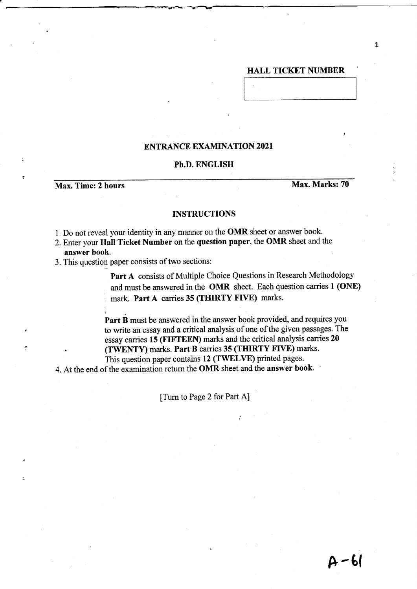#### HALL TICKET NUMBER

### ENTRANCE EXAMINATION 2021

#### Ph.D. ENGLISH

Max. Time: 2 hours Max. Marks: 70

#### INSTRUCTIONS

1. Do not reveal your identity in any manner on the OMR sheet or answer book.

2. Enter your Hall Ticket Number on the question paper, the OMR sheet and the answer book.

3. This question paper consists of two sections:

j

Part A consists of Multiple Choice Questions in Research Methodology and must be answered in the OMR sheet. Each question carries 1 (ONE) mark. Part A carries 35 (THIRTY FIVE) marks.

Part B must be answered in the answer book provided, and requires you to write an essay and a critical analysis of one of the given passages. The essay carries 15 (FIFTEEN) marks and the critical analysis carries  $20$ (TWENTY) marks. Part B carries 35 (THIRTY FIVE) marks. This question paper contains 12 (TWELYE) printed pages.

4. At the end of the examination return the OMR sheet and the answer book.

[Turn to Page 2 for Part A]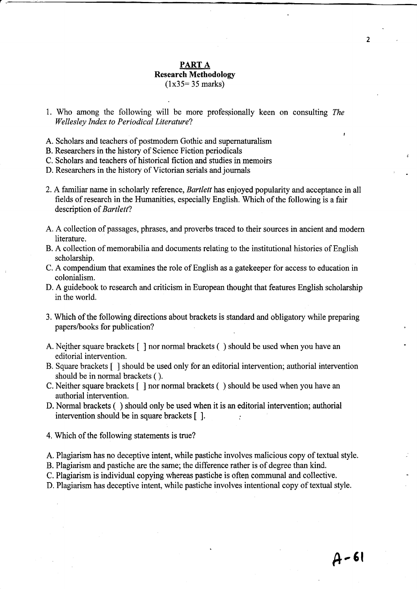## PART A Research Methodolory  $(1x35=35 \text{ marks})$

- 1. Who among the following will be more professionally keen on consulting The Wellesley Index to Periodical Literature?
- A. Scholars and teachers of postmodern Gothic and supernaturalism
- B. Researchers in the history of Science Fiction periodicals
- C. Scholars and teachers of historical fiction and studies in memoirs
- D. Researchers in the history of Victorian serials and journals
- 2. A familiar name in scholarly reference, Bartlett has enjoyed popularity and acceptance in all fields of research in the Humanities, especially English. Which of the following is a fair description of Bartlett?
- A. A collection of passages, phrases, and proverbs traced to their sources in ancient and modern literature.
- B. A collection of memorabilia and documents relating to the institutional histories of English scholarship.
- C. A compendium that examines the role of English as a gatekeeper for access to education in colonialism.
- D. A guidebook to research and criticism in European thought that features English scholarship in the world.
- 3. Which of the following directions about brackets is standard and obligatory while preparing papers/books for publication?
- A. Nejther square brackets [ ] nor normal brackets ( ) should be used when you have an editorial intervention.
- B. Square brackets [ ] should be used only for an editorial intervention; authorial intervention should be in normal brackets ( ).
- C. Neither square brackets [ ] nor normal brackets ( ) should be used when you have an authorial intervention.
- D. Normal brackets ( ) should only be used when it is an editorial intervention; authorial intervention should be in square brackets  $[ ]$ .
- 4. Which of the following statements is true?
- A. Plagiarism has no deceptive intent, while pastiche involves malicious copy of textual style.
- B. Plagiarism and pastiche are the same; the difference rather is of degree than kind.
- C. Plagiarism is individual copying whereas pastiche is often communal and collective.
- D. Plagiarism has deceptive intent, while pastiche involves intentional copy of textual style.

2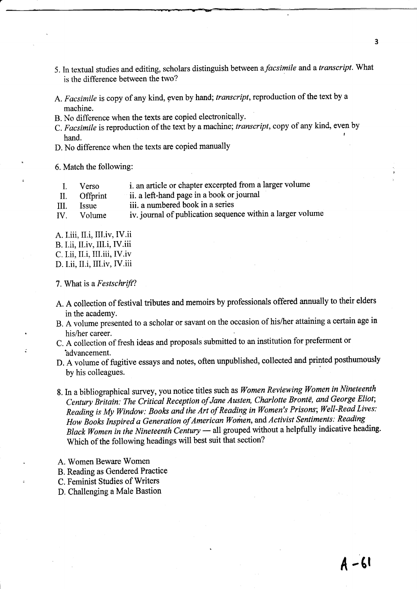- 5. In textual studies and editing, scholars distinguish between a facsimile and a transcript. What is the difference between the two?
- A. Facsimile is copy of any kind, even by hand; transcript, reproduction of the text by a machine.
- B. No difference when the texts are copied electronically.
- C. Facsimile is reproduction of the text by a machine; transcript, copy of any kind, even by hand.
- D. No difference when the texts are copied manually

6. Match the following:

| L    | Verso        | i. an article or chapter excerpted from a larger volume    |
|------|--------------|------------------------------------------------------------|
| II.  | Offprint     | ii. a left-hand page in a book or journal                  |
| III. | <i>Issue</i> | iii. a numbered book in a series                           |
| IV.  | Volume       | iv. journal of publication sequence within a larger volume |

A. I.iii, II.i, III.iv, IV.ii B. I.ii, II.iv, III.i, N.iii C. I.ii, II.i, III.iii, IV.iv D. Lii, II.i, III.iv, IV.iii

7. What is a Festschriff?

ź

- A. A collection of festival tributes and memoirs by professionals offered annually to their elders in the academy.
- B. A volume presented to a scholar or savant on the occasion of his/her attaining a certain age in his/her career.
- C. A collection of fresh ideas and proposals submitted to an institution for preferment or 'advancement.
- D. A volume of fugitive essays and notes, often unpublished, collected and printed posthumously by his colleagues.
- 8. In a bibliographical survey, you notice titles such as Women Reviewing Women in Nineteenth Century Britain: The Critical Reception of Jane Austen, Charlotte Brontë, and George Eliot; Reading is My Window: Books and the Art of Reading in Women's Prisons; Well-Read Lives: How Books Inspired a Generation of American Women, and Activist Sentiments: Reading Black Women in the Nineteenth Century — all grouped without a helpfully indicative heading.<br>Which of the following headings will best suit that section? Which of the following headings will best suit that section?
- A. Women Beware Women
- B. Reading as Gendered Practice
- C. Feminist Studies of Writers
- D. Challenging a Male Bastion

 $A - 61$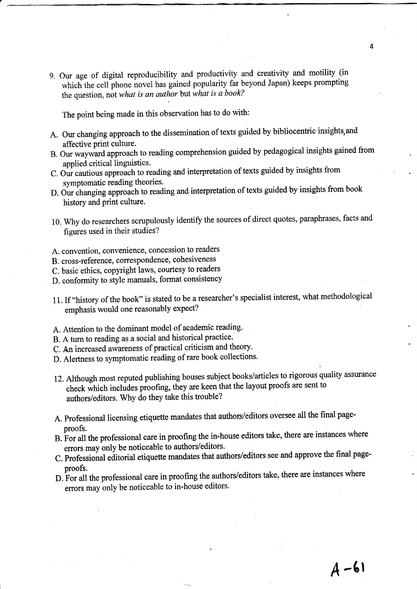9. Our age of digital reproducibility and productivity and creativity and motility (in which the cell phone novel has gained popularity far beyond Japan) keeps prompting the question, not what is an author but what is a book?

The point being made in this observation has to do with:

- A. Our changing approach to the dissemination of texts guided by bibliocentric insights,and affective print culture
- B. Our wayward approach to reading comprehension guided by pedagogical insights gained from applied critical linguistics.
- C. Our cautious approach to reading and interpretation of texts guided by insights from symptomatic reading theories.
- D. Our changing approach to reading and interpretation of texts guided by insights from book history and print culture.
- 10. Why do researchers scrupulously identify the sources of direct quotes, paraphrases, facts and figures used in their studies?
- A. convention, convenience, concession to readers
- B. cross-reference, correspondence, cohesiveness
- C. basic ethics, copyright laws, courtesy to readers

D. conformity to style manuals, format consistency

- 11. If "history of the book" is stated to be a researcher's specialist interest, what methodological emphasis would one reasonably expect?
- A. Attention to the dominant model of academic reading.
- B. A turn to reading as a social and historical practice.
- C. An increased awareness of practical criticism and theory.
- D. Alertness to symptomatic reading of rare book collections.
- 12. Although most reputed publishing houses subject books/articles to rigorous quality assurance check which includes proofing, they are keen that the layout proofs are sent to authors/editors. Why do they take this trouble?
- A. professional licensing etiquette mandates that authors/editors oversee all the final page' proofs.
- B. For all the professional care in proofing the in-house editors take, there are instances where errors may only be noticeable to authors/editors.
- C. professional editorial etiquette mandates that authors/editors see and approve the final pageproofs.
- p. For all the professional care in proofing the authors/editors take, there are instances where errors may only be noticeable to in-house editors.

4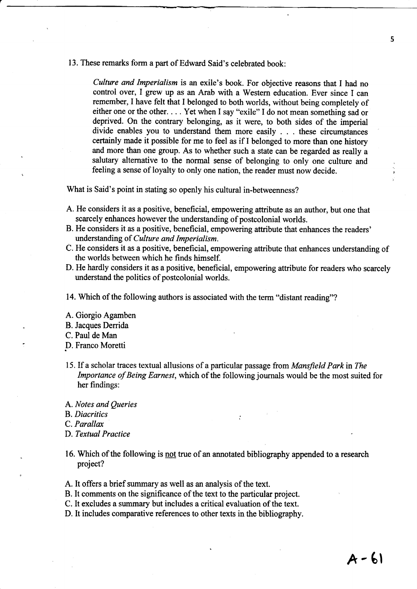13. These remarks form a part of Edward Said's celebrated book:

Culture and Imperialism is an exile's book. For objective reasons that I had no control over, I grew up as an Arab with a Western education. Ever since I can remember, I have felt that I belonged to both worlds, without being completely of either one or the other. . . . Yet when I say "exile" I do not mean something sad or deprived. On the contrary belonging, as it were, to both sides of the imperial divide enables you to understand them more easily  $\ldots$  these circumstances certainly made it possible for me to feel as if I belonged to more than one history and more than one group. As to whether such a state can be regarded as really a salutary alternative to the normal sense of belonging to only one culture and feeling a sense of loyalty to only one nation, the reader must now decide.

What is Said's point in stating so openly his cultural in-betweenness?

- A. He considers it as a positive, beneficial, empowering attribute as an author, but one that scarcely enhances however the understanding of postcolonial worlds.
- B. He considers it as a positive, beneficial, empowering attribute that enhances the readers' understanding of Culture and Imperialism.
- C. He considers it as a positive, beneficial, empowering attribute that enhances understanding of the worlds between which he finds himself.
- D. He hardly considers it as a positive, beneficial, empowering attribute for readers who scarcely understand the politics of postcolonial worlds.
- 14. Which of the following authors is associated with the term "distant reading"?
- A. Giorgio Agamben
- B. Jacques Derrida
- C. Paul de Man
- D. Franco Moretti
- 15. If a scholar traces textual allusions of a particular passage from Mansfield Park in The Importance of Being Earnest, which of the following journals would be the most suited for her findings:
- A. Notes and Queries
- **B.** Diacritics
- C. Parallax
- D. Textual Practice
- 16. Which of the following is not true of an annotated bibliography appended to a research project?
- A. It offers a brief summary as well as an analysis of the text.
- B. It comments on the significance of the text to the particular project.
- C. It excludes a summary but includes a critical evaluation of the text.
- D. It includes comparative references to other texts in the bibliography.

: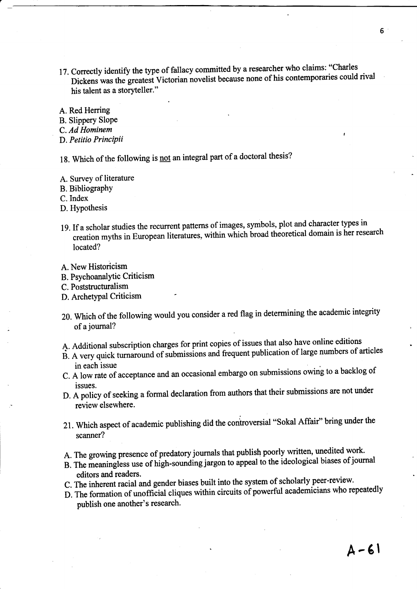- 17. Correctly identify the type of fallacy committed by a researcher who claims: "Charles Dickens was the greatest Victorian novelist because none of his contemporaries could rival his talent as a storyteller."
- A. Red Herring

B. Slippery Slope

C. Ad Hominen

D. Petitio Principii

18. Which of the following is not an integral part of a doctoral thesis?

- A. Survey of literature
- B. Bibliography

C.Index

D. Hypothesis

19. If a scholar studies the recurrent patterns of images, symbols, plot and character types in creation myths in European literatures, within which broad theoretical domain is her research located?

A. New Historicism

B. Psychoanalytic Criticism

C. Postsfiucturalism

D. Archetypal Criticism

- 20. Which of the following would you consider a red flag in determining the academic integrity of a joumal?
- A. Additional subscription charges for print copies of issues that also have online editions
- B. A very quick turnaround of submissions and frequent publication of large numbers of articles in each issue
- in each issue C. A low rate of acceptance and an occasional embargo on submissions owing to a backlog of
- issues. D. A policy of seeking a formal declaration from authors that their submissions are not under review elsewhere.
- 21. Which aspect of academic publishing did the contoversial "Sokal Affair" bring under the scanner?
- A. The growing presence of predatory journals that publish poorly written, unedited work.
- B. The meaningless use of high-sounding jargon to appeal to the ideological biases of journal editors and readers.
- C. The inherent racial and gender biases built into the system of scholarly peer-review'
- D. The formation of unofficial cliques within circuits of powerful academicians who repeatedly publish one another's research.

 $6<sup>1</sup>$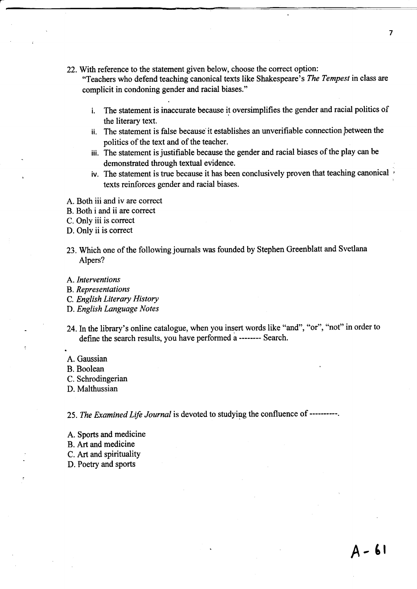## 22. With reference to the statement given below, choose the correct option:

"Teachers who defend teaching canonical texts like Shakespeare's The Tempest in class are complicit in condoning gender and racial biases."

- i. The statement is inaccurate because it oversimplifies the gender and racial politics of the literary text.
- ii. The statement is false because'it establishes an unverifiable connection petween the politics of the text and of the teacher.
- iii. The statement is justifiable because the gender and racial biases of the play can be demonstrated through textual evidence.
- iv. The statement is true because it has been conclusively proven that teaching canonical ' texts reinforces gender and racial biases.
- A. Both iii and iv are correct
- B. Both i and ii are correct
- C. Only iii is correct
- D. Only ii is correct
- 23. Which one of the following journals was founded by Stephen Greenblatt and Svetlana Alpers?
- A.Interventions
- B. Representations
- C. English Literary History
- D. English Language Notes
- 24. In the library's online catalogue, when you insert words like "and", "or", "not" in order to define the search results, you have performed a -------- Search.

 $A - 61$ 

 $\overline{7}$ 

- A. Gaussian
- B. Boolean
- C. Schrodingerian

D. Malthussian

25. The Examined Life Journal is devoted to studying the confluence of ----------.

- A. Sports and medicine
- B. Art and medicine
- C. Art and spirituality
- D. Poetry and sports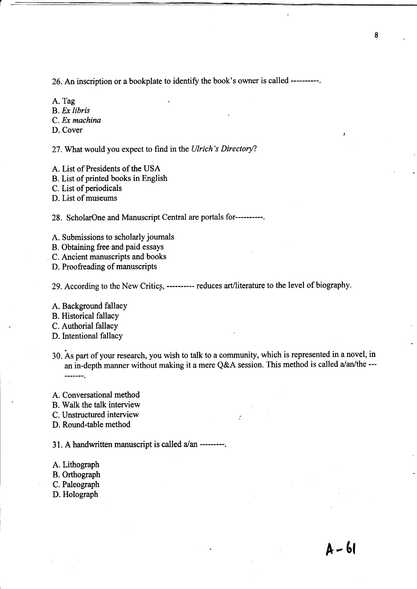26. An inscription or a bookplate to identify the book's owner is called ----------

A. Tag B. Ex libris

C. Ex machina

D. Cover

27. What would you expect to find in the Ulrich's Directory?

A. List of Presidents of the USA

B. List of printed books in English

C. List of periodicals

D. List of museums

28. ScholarOne and Manuscript Central are portals for----------.

A. Submissions to scholarly joumals

B. Obtaining free and paid essays

C. Ancient manuscripts and books

D. Proofreading of manuscripts

29. According to the New Critics, --------- reduces art/literature to the level of biography.

A. Background fallacy

B. Historical fallacy

- C. Authorial fallacy
- D. Intentional fallacy
- 30. As part of your research, you wish to talk to a community, which is represented in a novel, in an in-depth manner without making it a mere Q&A session. This method is called  $a/an/the$  --- $\overline{\phantom{a}}$

A. Conversational method

B. Walk the talk interview

C. Unstructured interview

D. Round-table method

31. A handwritten manuscript is called a/an

A. Lithograph

- B. Orthograph
- C. Paleograph
- D. Holograph

8

A- 6l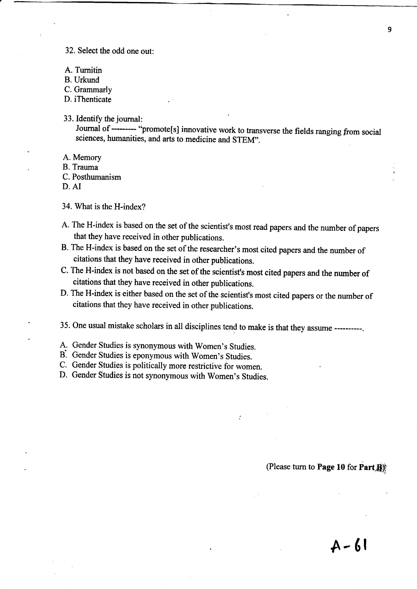## 32. Select the odd one out:

- A. Turnitin
- B. Urkund
- C. Grammarly

D. iThenticate

33. Identify the joumal:

Joumal of ----:- "promote[s] innovative work to transverse the fields ranging from social sciences, humanities, and arts to medicine and STEM".

A. Memory

B. Trauma

C. Posthumanism

D. AI

34. What is the H-index?

- A. The H-index is based on the set of the scientist's most read papers and the number of papers that they have received in other publications.
- B. The H-index is based on the set of the researcher's most cited papers and the number of citations that they have received in other publications.
- C. The H-index is not based on the set of the scientist's most cited papers and the number of citations that they have received in other publications.
- D. The H-index is either based on the set of the scientist's most cited papers or the number of citations that they have received in other publications.
- 35. One usual mistake scholars in all disciplines tend to make is that they assume ----------.
- A. Gender Studies is synonymous with Women's Studies.
- B. Gender Studies is eponymous with Women's Studies.
- C. Gender Studies is politically more restrictive for women
- D. Gender Studies is not synonymous with Women's Studies.

(Please turn to Page 10 for Part, $\mathbb{B}$ )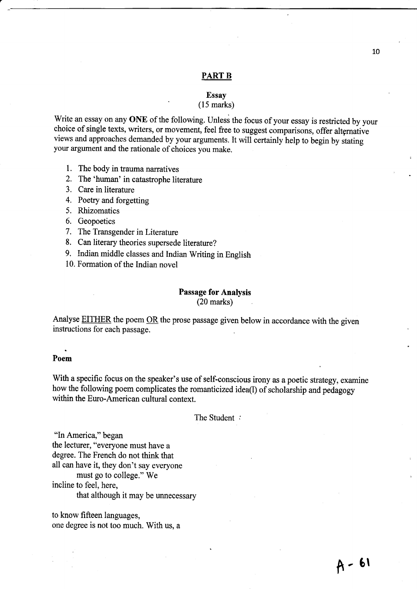## PART B

## Essay

# (15 marks)

Write an essay on any ONE of the following. Unless the focus of your essay is restricted by your choice of single texts, writers, or movement, feel free to suggest comparisons, offer attgrnative views and approaches demanded by your arguments. It will certainly help to begin by stating your argument and the rationale of choices you make

- 1. The body in trauma naratives
- 2. The 'human' in catastrophe literature
- 3. Care in literature
- 4. Poetry and forgetting
- 5. Rhizomatics
- 6. Geopoetics
- 7. The Transgender in Literature
- 8. Can literary theories supersede literature?
- 9. Indian middle classes and Indian Writing in English
- 10. Formation of the Indian novel

## Passage for Analysis

(20 marks)

Analyse EITHER the poem OR the prose passage given below in accordance with the given instructions for each passage.

#### Poem

With a specific focus on the speaker's use of self-conscious irony as a poetic strategy, examine how the following poem complicates the romanticized idea(l) of scholarship and pedagogy within the Euro-American cultural context.

The Student:

"In America," began the lecturer, "everyone must have a

degree. The French do not think that

all can have it, they don't say everyone

must go to college." We

incline to feel, here,

that although it may be unnecessary

to know fifteen languages, one degree is not too much. With us, a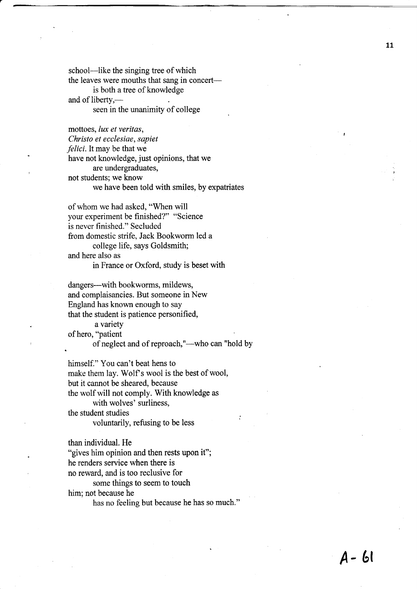school—like the singing tree of which the leaves were mouths that sang in concert-

is both a tree of knowledge and of liberty,seen in the unanimity of college

mottoes, lux et veritas, Christo et ecclesiae, sapiet felici. It may be that we have not knowledge, just opinions, that we are undergraduates, not students; we know we have been told with smiles, by expatriates

of whom we had asked, "When will your experiment be finished?" "Science is never finished." Secluded from domestic strife, Jack Bookworm led a college life, says Goldsmith;

and here also as in France or Oxford, study is beset with

dangers-with bookworms, mildews, and complaisancies. But someone in New England has known enough to say that the student is patience personified, a variety of hero, "patient

of neglect and of reproach,"—who can "hold by

himself." You can't beat hens to make them lay. Wolf's wool is the best of wool, but it cannot be sheared, because the wolf will not comply. With knowledge as with wolves' surliness,

the student studies

voluntarily, refusing to be less

than individual. He

"gives him opinion and then rests upon it"; he renders service when there is no reward, and is too reclusive for

some things to seem to touch

him; not because he

has no feeling but because he has so much."

A- 6l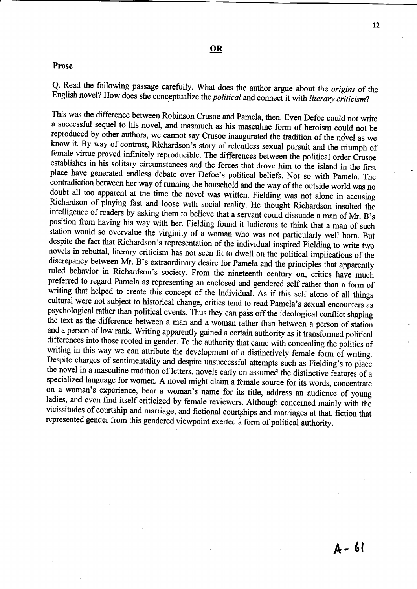#### Prose

Q. Read the following passage carefully. What does the author argue about the *origins* of the English novel? How does she conceptualize the *political* and connect it with *literary criticism*?

This was the difference between Robinson Crusoe and Pamela, then. Even Defoe could not write a successful sequel to his novel, and inasmuch as his masculine form of heroism could not be reproduced by other authors, we cannot say Crusoe inaugurated the tradition of the novel as we know it. By way of contrast, Richardson's story of relentless sexual pursuit and the triumph of female virtue proved infinitely reproducible. The differences between the political order Crusoe establishes in his solitary circumstances and the forces that drove him to the island in the first place have generated endless debate over Defoe's political beliefs. Not so with Pamela. The contradiction between her way of running the household and the way of the outside world was no doubt all too apparent at the time the novel was written. Fielding was not alone in accusing<br>Richardson of playing fast and loose with social reality. He thought Richardson insulted the intelligence of readers by asking them to believe that a servant could dissuade a man of Mr. B's<br>position from having his way with her. Fielding found it ludicrous to think that a man of such<br>station would so overvalue the despite the fact that Richardson's representation of the individual inspired Fielding to write two novels in rebuttal, literary criticism has not seen fit to dwell on the political implications of the discrepancy between Mr. B's extraordinary desire for Pamela and the principles that apparently ruled behavior in Richardson's society. From the nineteenth century on, critics have much preferred to regard Pamela as representing an enclosed and gendered self rather than a form of writing that helped to create this co psychological rather than political events. Thus they can pass off the ideological conflict shaping the text as the difference between a man and a woman rather than between a person of station and a person of low rank. Writing apparently gained a certain authority as it transformed political differences into those rooted in gender. To the authority that came with concealing the politics of writing in this way we can attribute the development of a distinctively female form of writing. Despite charges of sentimentality and despite unsuccessful attempts such as Fielding's to place the novel in a masculine tradition of letters, novels early on assumed the distinctive features of a specialized language for women. A novel might claim a female source for its words, concentrate on. a woman's experience, bear a woman's name for its title, address an audience of young ladies, and even find itself criticized by female reviewers. Although concerned mainly with the vicissitudes of courtship and marriage, and fictional courtships and marriages at that, fiction that represented gender from this gendered viewpoint exerted a form of political authority.

72